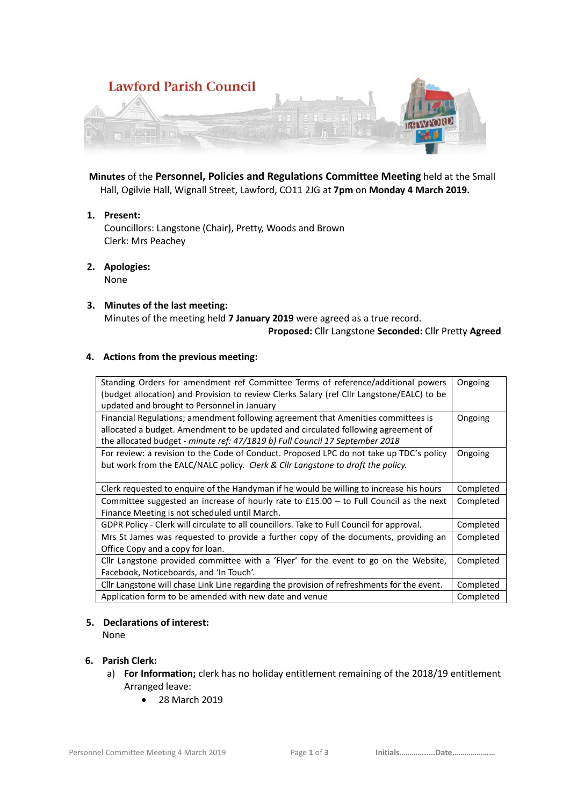

 **Minutes** of the **Personnel, Policies and Regulations Committee Meeting** held at the Small Hall, Ogilvie Hall, Wignall Street, Lawford, CO11 2JG at **7pm** on **Monday 4 March 2019.**

**1. Present:**

Councillors: Langstone (Chair), Pretty, Woods and Brown Clerk: Mrs Peachey

- **2. Apologies:**  None
- **3. Minutes of the last meeting:** Minutes of the meeting held **7 January 2019** were agreed as a true record.  **Proposed:** Cllr Langstone **Seconded:** Cllr Pretty **Agreed**

# **4. Actions from the previous meeting:**

| Standing Orders for amendment ref Committee Terms of reference/additional powers           | Ongoing   |
|--------------------------------------------------------------------------------------------|-----------|
| (budget allocation) and Provision to review Clerks Salary (ref Cllr Langstone/EALC) to be  |           |
| updated and brought to Personnel in January                                                |           |
| Financial Regulations; amendment following agreement that Amenities committees is          | Ongoing   |
| allocated a budget. Amendment to be updated and circulated following agreement of          |           |
| the allocated budget - minute ref: 47/1819 b) Full Council 17 September 2018               |           |
| For review: a revision to the Code of Conduct. Proposed LPC do not take up TDC's policy    | Ongoing   |
| but work from the EALC/NALC policy. Clerk & Cllr Langstone to draft the policy.            |           |
|                                                                                            |           |
| Clerk requested to enquire of the Handyman if he would be willing to increase his hours    | Completed |
| Committee suggested an increase of hourly rate to $£15.00 -$ to Full Council as the next   | Completed |
| Finance Meeting is not scheduled until March.                                              |           |
| GDPR Policy - Clerk will circulate to all councillors. Take to Full Council for approval.  | Completed |
| Mrs St James was requested to provide a further copy of the documents, providing an        | Completed |
| Office Copy and a copy for loan.                                                           |           |
| Cllr Langstone provided committee with a 'Flyer' for the event to go on the Website,       | Completed |
| Facebook, Noticeboards, and 'In Touch'.                                                    |           |
| Cllr Langstone will chase Link Line regarding the provision of refreshments for the event. | Completed |
| Application form to be amended with new date and venue                                     | Completed |

#### **5. Declarations of interest:**

None

## **6. Parish Clerk:**

- a) **For Information;** clerk has no holiday entitlement remaining of the 2018/19 entitlement Arranged leave:
	- 28 March 2019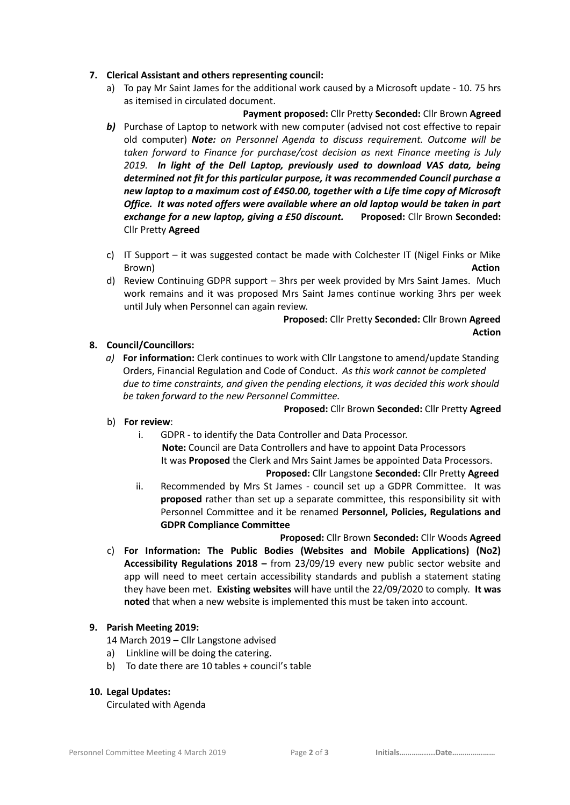### **7. Clerical Assistant and others representing council:**

a) To pay Mr Saint James for the additional work caused by a Microsoft update - 10. 75 hrs as itemised in circulated document.

 **Payment proposed:** Cllr Pretty **Seconded:** Cllr Brown **Agreed b)** Purchase of Laptop to network with new computer (advised not cost effective to repair old computer) *Note: on Personnel Agenda to discuss requirement. Outcome will be taken forward to Finance for purchase/cost decision as next Finance meeting is July 2019. In light of the Dell Laptop, previously used to download VAS data, being determined not fit for this particular purpose, it was recommended Council purchase a new laptop to a maximum cost of £450.00, together with a Life time copy of Microsoft Office. It was noted offers were available where an old laptop would be taken in part exchange for a new laptop, giving a £50 discount.* **Proposed:** Cllr Brown **Seconded:**  Cllr Pretty **Agreed**

- c) IT Support it was suggested contact be made with Colchester IT (Nigel Finks or Mike Brown) **Action**
- d) Review Continuing GDPR support 3hrs per week provided by Mrs Saint James. Much work remains and it was proposed Mrs Saint James continue working 3hrs per week until July when Personnel can again review.

# **Proposed:** Cllr Pretty **Seconded:** Cllr Brown **Agreed Action**

## **8. Council/Councillors:**

*a)* **For information:** Clerk continues to work with Cllr Langstone to amend/update Standing Orders, Financial Regulation and Code of Conduct. *As this work cannot be completed due to time constraints, and given the pending elections, it was decided this work should be taken forward to the new Personnel Committee.*

#### **Proposed:** Cllr Brown **Seconded:** Cllr Pretty **Agreed**

- b) **For review**:
	- i. GDPR to identify the Data Controller and Data Processor. **Note:** Council are Data Controllers and have to appoint Data Processors

It was **Proposed** the Clerk and Mrs Saint James be appointed Data Processors.

### **Proposed:** Cllr Langstone **Seconded:** Cllr Pretty **Agreed**

ii. Recommended by Mrs St James - council set up a GDPR Committee. It was **proposed** rather than set up a separate committee, this responsibility sit with Personnel Committee and it be renamed **Personnel, Policies, Regulations and GDPR Compliance Committee**

 **Proposed:** Cllr Brown **Seconded:** Cllr Woods **Agreed**

c) **For Information: The Public Bodies (Websites and Mobile Applications) (No2) Accessibility Regulations 2018 –** from 23/09/19 every new public sector website and app will need to meet certain accessibility standards and publish a statement stating they have been met. **Existing websites** will have until the 22/09/2020 to comply. **It was noted** that when a new website is implemented this must be taken into account.

## **9. Parish Meeting 2019:**

14 March 2019 – Cllr Langstone advised

- a) Linkline will be doing the catering.
- b) To date there are 10 tables + council's table

#### **10. Legal Updates:**

Circulated with Agenda